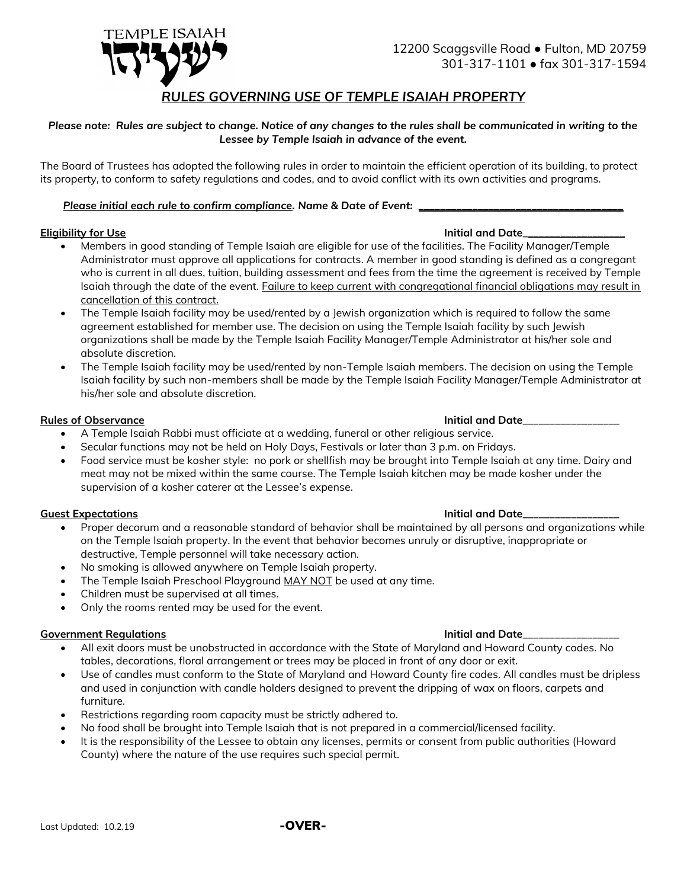

# *RULES GOVERNING USE OF TEMPLE ISAIAH PROPERTY*

## *Please note: Rules are subject to change. Notice of any changes to the rules shall be communicated in writing to the Lessee by Temple Isaiah in advance of the event.*

The Board of Trustees has adopted the following rules in order to maintain the efficient operation of its building, to protect its property, to conform to safety regulations and codes, and to avoid conflict with its own activities and programs.

## *Please initial each rule to confirm compliance. Name & Date of Event: \_\_\_\_\_\_\_\_\_\_\_\_\_\_\_\_\_\_\_\_\_\_\_\_\_\_\_\_\_\_\_\_\_\_\_\_\_\_*

# **Eligibility for Use Initial and Date**

- Members in good standing of Temple Isaiah are eligible for use of the facilities. The Facility Manager/Temple Administrator must approve all applications for contracts. A member in good standing is defined as a congregant who is current in all dues, tuition, building assessment and fees from the time the agreement is received by Temple Isaiah through the date of the event. Failure to keep current with congregational financial obligations may result in cancellation of this contract.
- The Temple Isaiah facility may be used/rented by a Jewish organization which is required to follow the same agreement established for member use. The decision on using the Temple Isaiah facility by such Jewish organizations shall be made by the Temple Isaiah Facility Manager/Temple Administrator at his/her sole and absolute discretion.
- The Temple Isaiah facility may be used/rented by non-Temple Isaiah members. The decision on using the Temple Isaiah facility by such non-members shall be made by the Temple Isaiah Facility Manager/Temple Administrator at his/her sole and absolute discretion.

### **Rules of Observance Initial and Date\_\_\_\_\_\_\_\_\_\_\_\_\_\_\_\_\_\_**

- A Temple Isaiah Rabbi must officiate at a wedding, funeral or other religious service.
- Secular functions may not be held on Holy Days, Festivals or later than 3 p.m. on Fridays.
- Food service must be kosher style: no pork or shellfish may be brought into Temple Isaiah at any time. Dairy and meat may not be mixed within the same course. The Temple Isaiah kitchen may be made kosher under the supervision of a kosher caterer at the Lessee's expense.

### **Guest Expectations Initial and Date\_\_\_\_\_\_\_\_\_\_\_\_\_\_\_\_\_\_**

- Proper decorum and a reasonable standard of behavior shall be maintained by all persons and organizations while on the Temple Isaiah property. In the event that behavior becomes unruly or disruptive, inappropriate or destructive, Temple personnel will take necessary action.
- No smoking is allowed anywhere on Temple Isaiah property.
- The Temple Isaiah Preschool Playground MAY NOT be used at any time.
- Children must be supervised at all times.
- Only the rooms rented may be used for the event.

### **Government Regulations Initial and Date\_\_\_\_\_\_\_\_\_\_\_\_\_\_\_\_\_\_**

- All exit doors must be unobstructed in accordance with the State of Maryland and Howard County codes. No tables, decorations, floral arrangement or trees may be placed in front of any door or exit.
- Use of candles must conform to the State of Maryland and Howard County fire codes. All candles must be dripless and used in conjunction with candle holders designed to prevent the dripping of wax on floors, carpets and furniture.
- Restrictions regarding room capacity must be strictly adhered to.
- No food shall be brought into Temple Isaiah that is not prepared in a commercial/licensed facility.
- It is the responsibility of the Lessee to obtain any licenses, permits or consent from public authorities (Howard County) where the nature of the use requires such special permit.